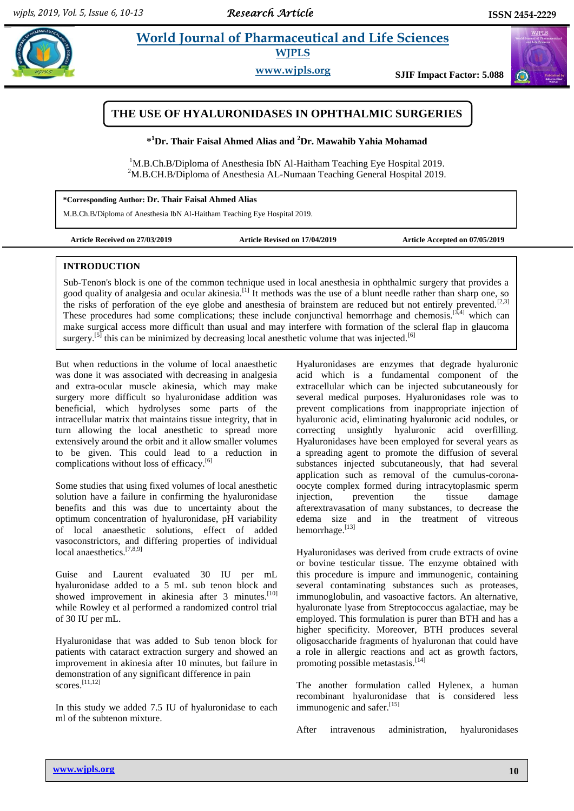# **Pharmaceutical and Life Sciences WJPLS**

**www.wjpls.org SJIF Impact Factor: 5.088**

# **THE USE OF HYALURONIDASES IN OPHTHALMIC SURGERIES**

**\* <sup>1</sup>Dr. Thair Faisal Ahmed Alias and <sup>2</sup>Dr. Mawahib Yahia Mohamad**

<sup>1</sup>M.B.Ch.B/Diploma of Anesthesia IbN Al-Haitham Teaching Eye Hospital 2019. <sup>2</sup>M.B.CH.B/Diploma of Anesthesia AL-Numaan Teaching General Hospital 2019.

**\*Corresponding Author: Dr. Thair Faisal Ahmed Alias**

M.B.Ch.B/Diploma of Anesthesia IbN Al-Haitham Teaching Eye Hospital 2019.

**Article Received on 27/03/2019 Article Revised on 17/04/2019 Article Accepted on 07/05/2019**

#### **INTRODUCTION**

Sub-Tenon's block is one of the common technique used in local anesthesia in ophthalmic surgery that provides a good quality of analgesia and ocular akinesia.[1] It methods was the use of a blunt needle rather than sharp one, so the risks of perforation of the eye globe and anesthesia of brainstem are reduced but not entirely prevented.<sup>[2,3]</sup> These procedures had some complications; these include conjunctival hemorrhage and chemosis.<sup>[3,4]</sup> which can make surgical access more difficult than usual and may interfere with formation of the scleral flap in glaucoma surgery.<sup>[5]</sup> this can be minimized by decreasing local anesthetic volume that was injected.<sup>[6]</sup>

But when reductions in the volume of local anaesthetic was done it was associated with decreasing in analgesia and extra-ocular muscle akinesia, which may make surgery more difficult so hyaluronidase addition was beneficial, which hydrolyses some parts of the intracellular matrix that maintains tissue integrity, that in turn allowing the local anesthetic to spread more extensively around the orbit and it allow smaller volumes to be given. This could lead to a reduction in complications without loss of efficacy.<sup>[6]</sup>

Some studies that using fixed volumes of local anesthetic solution have a failure in confirming the hyaluronidase benefits and this was due to uncertainty about the optimum concentration of hyaluronidase, pH variability of local anaesthetic solutions, effect of added vasoconstrictors, and differing properties of individual local anaesthetics.<sup>[7,8,9]</sup>

Guise and Laurent evaluated 30 IU per mL hyaluronidase added to a 5 mL sub tenon block and showed improvement in akinesia after 3 minutes.<sup>[10]</sup> while Rowley et al performed a randomized control trial of 30 IU per mL.

Hyaluronidase that was added to Sub tenon block for patients with cataract extraction surgery and showed an improvement in akinesia after 10 minutes, but failure in demonstration of any significant difference in pain scores.[11,12]

In this study we added 7.5 IU of hyaluronidase to each ml of the subtenon mixture.

Hyaluronidases are enzymes that degrade hyaluronic acid which is a fundamental component of the extracellular which can be injected subcutaneously for several medical purposes. Hyaluronidases role was to prevent complications from inappropriate injection of hyaluronic acid, eliminating hyaluronic acid nodules, or correcting unsightly hyaluronic acid overfilling. Hyaluronidases have been employed for several years as a spreading agent to promote the diffusion of several substances injected subcutaneously, that had several application such as removal of the cumulus-coronaoocyte complex formed during intracytoplasmic sperm injection, prevention the tissue damage afterextravasation of many substances, to decrease the edema size and in the treatment of vitreous hemorrhage.<sup>[13]</sup>

Hyaluronidases was derived from crude extracts of ovine or bovine testicular tissue. The enzyme obtained with this procedure is impure and immunogenic, containing several contaminating substances such as proteases, immunoglobulin, and vasoactive factors. An alternative, hyaluronate lyase from Streptococcus agalactiae, may be employed. This formulation is purer than BTH and has a higher specificity. Moreover, BTH produces several oligosaccharide fragments of hyaluronan that could have a role in allergic reactions and act as growth factors, promoting possible metastasis.<sup>[14]</sup>

The another formulation called Hylenex, a human recombinant hyaluronidase that is considered less immunogenic and safer.<sup>[15]</sup>

After intravenous administration, hyaluronidases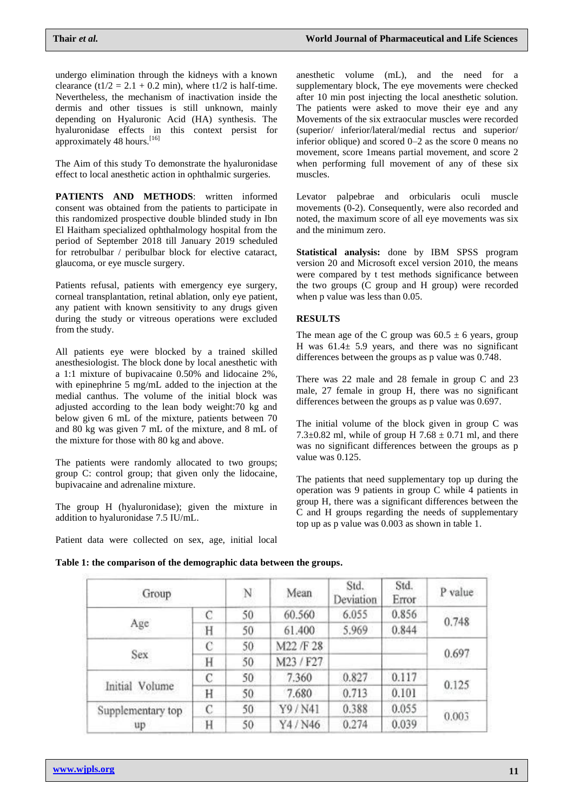undergo elimination through the kidneys with a known clearance (t1/2 = 2.1 + 0.2 min), where t1/2 is half-time. Nevertheless, the mechanism of inactivation inside the dermis and other tissues is still unknown, mainly depending on Hyaluronic Acid (HA) synthesis. The hyaluronidase effects in this context persist for approximately 48 hours.<sup>[16]</sup>

The Aim of this study To demonstrate the hyaluronidase effect to local anesthetic action in ophthalmic surgeries.

**PATIENTS AND METHODS**: written informed consent was obtained from the patients to participate in this randomized prospective double blinded study in Ibn El Haitham specialized ophthalmology hospital from the period of September 2018 till January 2019 scheduled for retrobulbar / peribulbar block for elective cataract, glaucoma, or eye muscle surgery.

Patients refusal, patients with emergency eye surgery, corneal transplantation, retinal ablation, only eye patient, any patient with known sensitivity to any drugs given during the study or vitreous operations were excluded from the study.

All patients eye were blocked by a trained skilled anesthesiologist. The block done by local anesthetic with a 1:1 mixture of bupivacaine 0.50% and lidocaine 2%, with epinephrine 5 mg/mL added to the injection at the medial canthus. The volume of the initial block was adjusted according to the lean body weight:70 kg and below given 6 mL of the mixture, patients between 70 and 80 kg was given 7 mL of the mixture, and 8 mL of the mixture for those with 80 kg and above.

The patients were randomly allocated to two groups; group C: control group; that given only the lidocaine, bupivacaine and adrenaline mixture.

The group H (hyaluronidase); given the mixture in addition to hyaluronidase 7.5 IU/mL.

Patient data were collected on sex, age, initial local

anesthetic volume (mL), and the need for a supplementary block, The eye movements were checked after 10 min post injecting the local anesthetic solution. The patients were asked to move their eye and any Movements of the six extraocular muscles were recorded (superior/ inferior/lateral/medial rectus and superior/ inferior oblique) and scored 0–2 as the score 0 means no movement, score 1means partial movement, and score 2 when performing full movement of any of these six muscles.

Levator palpebrae and orbicularis oculi muscle movements (0-2). Consequently, were also recorded and noted, the maximum score of all eye movements was six and the minimum zero.

**Statistical analysis:** done by IBM SPSS program version 20 and Microsoft excel version 2010, the means were compared by t test methods significance between the two groups (C group and H group) were recorded when p value was less than 0.05.

## **RESULTS**

The mean age of the C group was  $60.5 \pm 6$  years, group H was  $61.4 \pm 5.9$  years, and there was no significant differences between the groups as p value was 0.748.

There was 22 male and 28 female in group C and 23 male, 27 female in group H, there was no significant differences between the groups as p value was 0.697.

The initial volume of the block given in group C was 7.3 $\pm$ 0.82 ml, while of group H 7.68  $\pm$  0.71 ml, and there was no significant differences between the groups as p value was 0.125.

The patients that need supplementary top up during the operation was 9 patients in group C while 4 patients in group H, there was a significant differences between the C and H groups regarding the needs of supplementary top up as p value was 0.003 as shown in table 1.

|  | Table 1: the comparison of the demographic data between the groups. |  |
|--|---------------------------------------------------------------------|--|
|  |                                                                     |  |

| Group             |   | N  | Mean      | Std.<br>Deviation | Std.<br>Error | P value |
|-------------------|---|----|-----------|-------------------|---------------|---------|
|                   | C | 50 | 60.560    | 6.055             | 0.856         | 0.748   |
| Age               | Н | 50 | 61.400    | 5.969             | 0.844         |         |
|                   | С | 50 | M22 /F 28 |                   |               | 0.697   |
| Sex               | H | 50 | M23/F27   |                   |               |         |
|                   | C | 50 | 7.360     | 0.827             | 0.117         | 0.125   |
| Initial Volume    | Η | 50 | 7.680     | 0.713             | 0.101         |         |
| Supplementary top | C | 50 | Y9/N41    | 0.388             | 0.055         | 0.003   |
| up                | Н | 50 | Y4/N46    | 0.274             | 0.039         |         |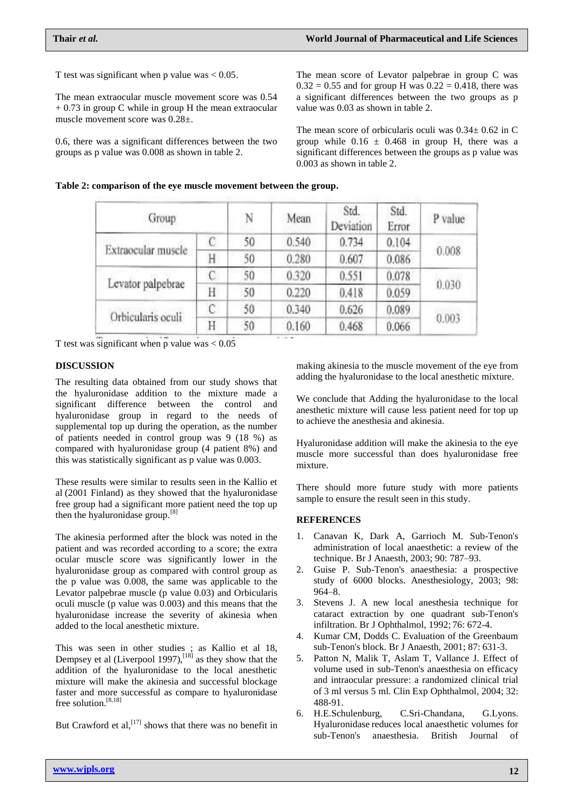T test was significant when p value was  $< 0.05$ .

The mean extraocular muscle movement score was 0.54  $+ 0.73$  in group C while in group H the mean extraocular muscle movement score was 0.28±.

0.6, there was a significant differences between the two groups as p value was 0.008 as shown in table 2.

The mean score of Levator palpebrae in group C was  $0.32 = 0.55$  and for group H was  $0.22 = 0.418$ , there was a significant differences between the two groups as p value was 0.03 as shown in table 2.

The mean score of orbicularis oculi was  $0.34 \pm 0.62$  in C group while  $0.16 \pm 0.468$  in group H, there was a significant differences between the groups as p value was 0.003 as shown in table 2.

| Group              |    | N  | Mean  | Std.<br>Deviation | Std.<br>Error | P value |
|--------------------|----|----|-------|-------------------|---------------|---------|
|                    |    | 50 | 0.540 | 0.734             | 0.104         | 0.008   |
| Extraocular muscle | Η  | 50 | 0.280 | 0.607             | 0.086         |         |
|                    | C. | 50 | 0.320 | 0.551             | 0.078         | 0.030   |
| Levator palpebrae  | Η  | 50 | 0.220 | 0.418             | 0.059         |         |
|                    | C  | 50 | 0.340 | 0.626             | 0.089         | 0.003   |
| Orbicularis oculi  | Н  | 50 | 0.160 | 0.468             | 0.066         |         |

T test was significant when p value was  $< 0.05$ 

## **DISCUSSION**

The resulting data obtained from our study shows that the hyaluronidase addition to the mixture made a significant difference between the control and hyaluronidase group in regard to the needs of supplemental top up during the operation, as the number of patients needed in control group was 9 (18 %) as compared with hyaluronidase group (4 patient 8%) and this was statistically significant as p value was 0.003.

These results were similar to results seen in the Kallio et al (2001 Finland) as they showed that the hyaluronidase free group had a significant more patient need the top up then the hyaluronidase group.<sup>[8]</sup>

The akinesia performed after the block was noted in the patient and was recorded according to a score; the extra ocular muscle score was significantly lower in the hyaluronidase group as compared with control group as the p value was 0.008, the same was applicable to the Levator palpebrae muscle (p value 0.03) and Orbicularis oculi muscle (p value was 0.003) and this means that the hyaluronidase increase the severity of akinesia when added to the local anesthetic mixture.

This was seen in other studies ; as Kallio et al 18, Dempsey et al (Liverpool 1997),<sup>[18]</sup> as they show that the addition of the hyaluronidase to the local anesthetic mixture will make the akinesia and successful blockage faster and more successful as compare to hyaluronidase free solution.[8,18]

But Crawford et al,  $^{[17]}$  shows that there was no benefit in

making akinesia to the muscle movement of the eye from adding the hyaluronidase to the local anesthetic mixture.

We conclude that Adding the hyaluronidase to the local anesthetic mixture will cause less patient need for top up to achieve the anesthesia and akinesia.

Hyaluronidase addition will make the akinesia to the eye muscle more successful than does hyaluronidase free mixture.

There should more future study with more patients sample to ensure the result seen in this study.

### **REFERENCES**

- 1. Canavan K, Dark A, Garrioch M. Sub-Tenon's administration of local anaesthetic: a review of the technique. Br J Anaesth, 2003; 90: 787–93.
- 2. Guise P. Sub-Tenon's anaesthesia: a prospective study of 6000 blocks. Anesthesiology, 2003; 98: 964–8.
- 3. Stevens J. A new local anesthesia technique for cataract extraction by one quadrant sub-Tenon's infiltration. Br J Ophthalmol, 1992; 76: 672-4.
- 4. Kumar CM, Dodds C. Evaluation of the Greenbaum sub-Tenon's block. Br J Anaesth, 2001; 87: 631-3.
- 5. Patton N, Malik T, Aslam T, Vallance J. Effect of volume used in sub-Tenon's anaesthesia on efficacy and intraocular pressure: a randomized clinical trial of 3 ml versus 5 ml. Clin Exp Ophthalmol, 2004; 32: 488-91.
- 6. H.E.Schulenburg, C.Sri-Chandana, G.Lyons. Hyaluronidase reduces local anaesthetic volumes for sub-Tenon's anaesthesia. British Journal of